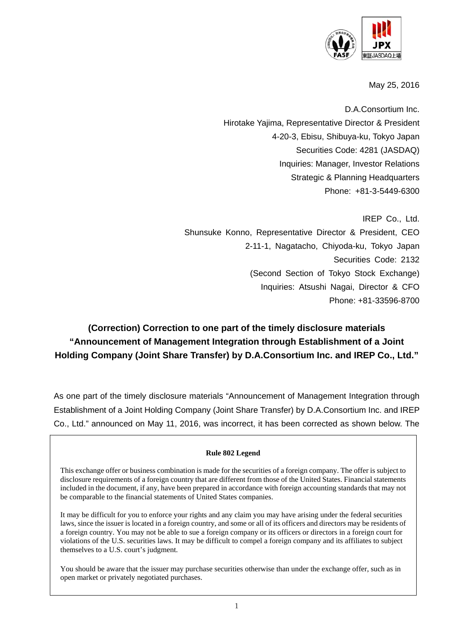

May 25, 2016

D.A.Consortium Inc. Hirotake Yajima, Representative Director & President 4-20-3, Ebisu, Shibuya-ku, Tokyo Japan Securities Code: 4281 (JASDAQ) Inquiries: Manager, Investor Relations Strategic & Planning Headquarters Phone: +81-3-5449-6300

IREP Co., Ltd. Shunsuke Konno, Representative Director & President, CEO 2-11-1, Nagatacho, Chiyoda-ku, Tokyo Japan Securities Code: 2132 (Second Section of Tokyo Stock Exchange) Inquiries: Atsushi Nagai, Director & CFO Phone: +81-33596-8700

# **(Correction) Correction to one part of the timely disclosure materials "Announcement of Management Integration through Establishment of a Joint Holding Company (Joint Share Transfer) by D.A.Consortium Inc. and IREP Co., Ltd."**

As one part of the timely disclosure materials "Announcement of Management Integration through Establishment of a Joint Holding Company (Joint Share Transfer) by D.A.Consortium Inc. and IREP Co., Ltd." announced on May 11, 2016, was incorrect, it has been corrected as shown below. The

#### **Rule 802 Legend**

This exchange offer or business combination is made for the securities of a foreign company. The offer is subject to disclosure requirements of a foreign country that are different from those of the United States. Financial statements included in the document, if any, have been prepared in accordance with foreign accounting standards that may not be comparable to the financial statements of United States companies.

It may be difficult for you to enforce your rights and any claim you may have arising under the federal securities laws, since the issuer is located in a foreign country, and some or all of its officers and directors may be residents of a foreign country. You may not be able to sue a foreign company or its officers or directors in a foreign court for violations of the U.S. securities laws. It may be difficult to compel a foreign company and its affiliates to subject themselves to a U.S. court's judgment.

You should be aware that the issuer may purchase securities otherwise than under the exchange offer, such as in open market or privately negotiated purchases.